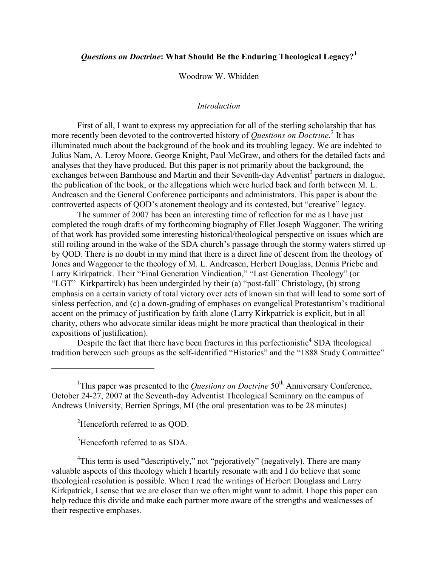## *Questions on Doctrine:* What Should Be the Enduring Theological Legacy?<sup>1</sup>

## Woodrow W. Whidden

#### Introduction

 First of all, I want to express my appreciation for all of the sterling scholarship that has more recently been devoted to the controverted history of Questions on Doctrine.<sup>2</sup> It has illuminated much about the background of the book and its troubling legacy. We are indebted to Julius Nam, A. Leroy Moore, George Knight, Paul McGraw, and others for the detailed facts and analyses that they have produced. But this paper is not primarily about the background, the exchanges between Barnhouse and Martin and their Seventh-day Adventist<sup>3</sup> partners in dialogue, the publication of the book, or the allegations which were hurled back and forth between M. L. Andreasen and the General Conference participants and administrators. This paper is about the controverted aspects of QOD's atonement theology and its contested, but "creative" legacy.

 The summer of 2007 has been an interesting time of reflection for me as I have just completed the rough drafts of my forthcoming biography of Ellet Joseph Waggoner. The writing of that work has provided some interesting historical/theological perspective on issues which are still roiling around in the wake of the SDA church's passage through the stormy waters stirred up by QOD. There is no doubt in my mind that there is a direct line of descent from the theology of Jones and Waggoner to the theology of M. L. Andreasen, Herbert Douglass, Dennis Priebe and Larry Kirkpatrick. Their "Final Generation Vindication," "Last Generation Theology" (or "LGT"–Kirkpartirck) has been undergirded by their (a) "post-fall" Christology, (b) strong emphasis on a certain variety of total victory over acts of known sin that will lead to some sort of sinless perfection, and (c) a down-grading of emphases on evangelical Protestantism's traditional accent on the primacy of justification by faith alone (Larry Kirkpatrick is explicit, but in all charity, others who advocate similar ideas might be more practical than theological in their expositions of justification).

Despite the fact that there have been fractures in this perfectionistic<sup>4</sup> SDA theological tradition between such groups as the self-identified "Historics" and the "1888 Study Committee"

<sup>2</sup>Henceforth referred to as QOD.

<u>.</u>

<sup>3</sup>Henceforth referred to as SDA.

<sup>4</sup>This term is used "descriptively," not "pejoratively" (negatively). There are many valuable aspects of this theology which I heartily resonate with and I do believe that some theological resolution is possible. When I read the writings of Herbert Douglass and Larry Kirkpatrick, I sense that we are closer than we often might want to admit. I hope this paper can help reduce this divide and make each partner more aware of the strengths and weaknesses of their respective emphases.

<sup>&</sup>lt;sup>1</sup>This paper was presented to the *Questions on Doctrine*  $50<sup>th</sup>$  Anniversary Conference, October 24-27, 2007 at the Seventh-day Adventist Theological Seminary on the campus of Andrews University, Berrien Springs, MI (the oral presentation was to be 28 minutes)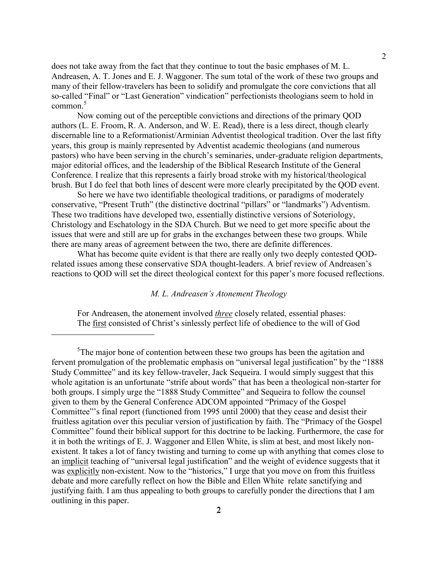does not take away from the fact that they continue to tout the basic emphases of M. L. Andreasen, A. T. Jones and E. J. Waggoner. The sum total of the work of these two groups and many of their fellow-travelers has been to solidify and promulgate the core convictions that all so-called "Final" or "Last Generation" vindication" perfectionists theologians seem to hold in  $common.$ <sup>5</sup>

 Now coming out of the perceptible convictions and directions of the primary QOD authors (L. E. Froom, R. A. Anderson, and W. E. Read), there is a less direct, though clearly discernable line to a Reformationist/Arminian Adventist theological tradition. Over the last fifty years, this group is mainly represented by Adventist academic theologians (and numerous pastors) who have been serving in the church's seminaries, under-graduate religion departments, major editorial offices, and the leadership of the Biblical Research Institute of the General Conference. I realize that this represents a fairly broad stroke with my historical/theological brush. But I do feel that both lines of descent were more clearly precipitated by the QOD event.

 So here we have two identifiable theological traditions, or paradigms of moderately conservative, "Present Truth" (the distinctive doctrinal "pillars" or "landmarks") Adventism. These two traditions have developed two, essentially distinctive versions of Soteriology, Christology and Eschatology in the SDA Church. But we need to get more specific about the issues that were and still are up for grabs in the exchanges between these two groups. While there are many areas of agreement between the two, there are definite differences.

 What has become quite evident is that there are really only two deeply contested QODrelated issues among these conservative SDA thought-leaders. A brief review of Andreasen's reactions to QOD will set the direct theological context for this paper's more focused reflections.

## M. L. Andreasen's Atonement Theology

For Andreasen, the atonement involved *three* closely related, essential phases: The first consisted of Christ's sinlessly perfect life of obedience to the will of God

l

2

 $5$ The major bone of contention between these two groups has been the agitation and fervent promulgation of the problematic emphasis on "universal legal justification" by the "1888 Study Committee" and its key fellow-traveler, Jack Sequeira. I would simply suggest that this whole agitation is an unfortunate "strife about words" that has been a theological non-starter for both groups. I simply urge the "1888 Study Committee" and Sequeira to follow the counsel given to them by the General Conference ADCOM appointed "Primacy of the Gospel Committee"'s final report (functioned from 1995 until 2000) that they cease and desist their fruitless agitation over this peculiar version of justification by faith. The "Primacy of the Gospel Committee" found their biblical support for this doctrine to be lacking. Furthermore, the case for it in both the writings of E. J. Waggoner and Ellen White, is slim at best, and most likely nonexistent. It takes a lot of fancy twisting and turning to come up with anything that comes close to an implicit teaching of "universal legal justification" and the weight of evidence suggests that it was explicitly non-existent. Now to the "historics," I urge that you move on from this fruitless debate and more carefully reflect on how the Bible and Ellen White relate sanctifying and justifying faith. I am thus appealing to both groups to carefully ponder the directions that I am outlining in this paper.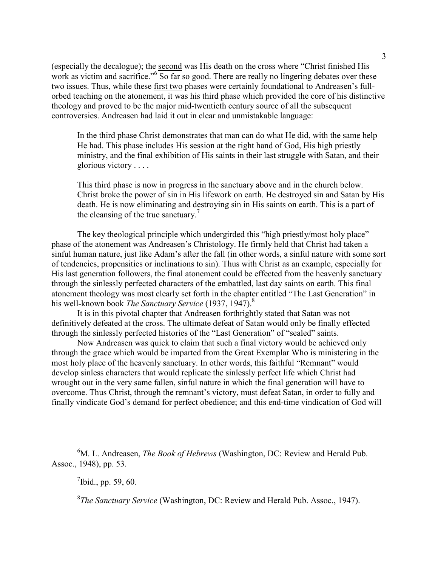(especially the decalogue); the second was His death on the cross where "Christ finished His work as victim and sacrifice."<sup>6</sup> So far so good. There are really no lingering debates over these two issues. Thus, while these first two phases were certainly foundational to Andreasen's fullorbed teaching on the atonement, it was his third phase which provided the core of his distinctive theology and proved to be the major mid-twentieth century source of all the subsequent controversies. Andreasen had laid it out in clear and unmistakable language:

In the third phase Christ demonstrates that man can do what He did, with the same help He had. This phase includes His session at the right hand of God, His high priestly ministry, and the final exhibition of His saints in their last struggle with Satan, and their glorious victory . . . .

This third phase is now in progress in the sanctuary above and in the church below. Christ broke the power of sin in His lifework on earth. He destroyed sin and Satan by His death. He is now eliminating and destroying sin in His saints on earth. This is a part of the cleansing of the true sanctuary.<sup>7</sup>

 The key theological principle which undergirded this "high priestly/most holy place" phase of the atonement was Andreasen's Christology. He firmly held that Christ had taken a sinful human nature, just like Adam's after the fall (in other words, a sinful nature with some sort of tendencies, propensities or inclinations to sin). Thus with Christ as an example, especially for His last generation followers, the final atonement could be effected from the heavenly sanctuary through the sinlessly perfected characters of the embattled, last day saints on earth. This final atonement theology was most clearly set forth in the chapter entitled "The Last Generation" in his well-known book *The Sanctuary Service* (1937, 1947).<sup>8</sup>

 It is in this pivotal chapter that Andreasen forthrightly stated that Satan was not definitively defeated at the cross. The ultimate defeat of Satan would only be finally effected through the sinlessly perfected histories of the "Last Generation" of "sealed" saints.

 Now Andreasen was quick to claim that such a final victory would be achieved only through the grace which would be imparted from the Great Exemplar Who is ministering in the most holy place of the heavenly sanctuary. In other words, this faithful "Remnant" would develop sinless characters that would replicate the sinlessly perfect life which Christ had wrought out in the very same fallen, sinful nature in which the final generation will have to overcome. Thus Christ, through the remnant's victory, must defeat Satan, in order to fully and finally vindicate God's demand for perfect obedience; and this end-time vindication of God will

 $7$ Ibid., pp. 59, 60.

 $\overline{a}$ 

 ${}^{8}$ The Sanctuary Service (Washington, DC: Review and Herald Pub. Assoc., 1947).

 $6$ M. L. Andreasen, *The Book of Hebrews* (Washington, DC: Review and Herald Pub. Assoc., 1948), pp. 53.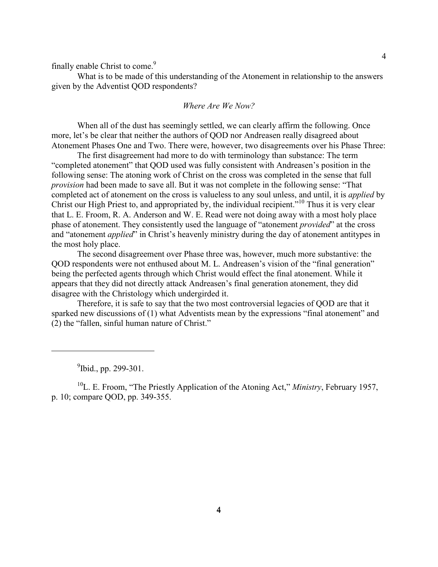finally enable Christ to come.<sup>9</sup>

 What is to be made of this understanding of the Atonement in relationship to the answers given by the Adventist QOD respondents?

## Where Are We Now?

 When all of the dust has seemingly settled, we can clearly affirm the following. Once more, let's be clear that neither the authors of QOD nor Andreasen really disagreed about Atonement Phases One and Two. There were, however, two disagreements over his Phase Three:

 The first disagreement had more to do with terminology than substance: The term "completed atonement" that QOD used was fully consistent with Andreasen's position in the following sense: The atoning work of Christ on the cross was completed in the sense that full provision had been made to save all. But it was not complete in the following sense: "That completed act of atonement on the cross is valueless to any soul unless, and until, it is applied by Christ our High Priest to, and appropriated by, the individual recipient. $110$  Thus it is very clear that L. E. Froom, R. A. Anderson and W. E. Read were not doing away with a most holy place phase of atonement. They consistently used the language of "atonement *provided*" at the cross and "atonement *applied*" in Christ's heavenly ministry during the day of atonement antitypes in the most holy place.

 The second disagreement over Phase three was, however, much more substantive: the QOD respondents were not enthused about M. L. Andreasen's vision of the "final generation" being the perfected agents through which Christ would effect the final atonement. While it appears that they did not directly attack Andreasen's final generation atonement, they did disagree with the Christology which undergirded it.

 Therefore, it is safe to say that the two most controversial legacies of QOD are that it sparked new discussions of (1) what Adventists mean by the expressions "final atonement" and (2) the "fallen, sinful human nature of Christ."

<sup>9</sup>Ibid., pp. 299-301.

<u>.</u>

 $10L$ . E. Froom, "The Priestly Application of the Atoning Act," *Ministry*, February 1957, p. 10; compare QOD, pp. 349-355.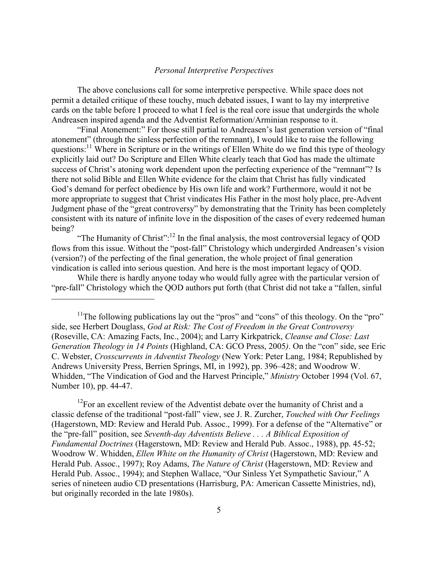## Personal Interpretive Perspectives

 The above conclusions call for some interpretive perspective. While space does not permit a detailed critique of these touchy, much debated issues, I want to lay my interpretive cards on the table before I proceed to what I feel is the real core issue that undergirds the whole Andreasen inspired agenda and the Adventist Reformation/Arminian response to it.

 "Final Atonement:" For those still partial to Andreasen's last generation version of "final atonement" (through the sinless perfection of the remnant), I would like to raise the following questions:<sup>11</sup> Where in Scripture or in the writings of Ellen White do we find this type of theology explicitly laid out? Do Scripture and Ellen White clearly teach that God has made the ultimate success of Christ's atoning work dependent upon the perfecting experience of the "remnant"? Is there not solid Bible and Ellen White evidence for the claim that Christ has fully vindicated God's demand for perfect obedience by His own life and work? Furthermore, would it not be more appropriate to suggest that Christ vindicates His Father in the most holy place, pre-Advent Judgment phase of the "great controversy" by demonstrating that the Trinity has been completely consistent with its nature of infinite love in the disposition of the cases of every redeemed human being?

"The Humanity of Christ": $^{12}$  In the final analysis, the most controversial legacy of QOD flows from this issue. Without the "post-fall" Christology which undergirded Andreasen's vision (version?) of the perfecting of the final generation, the whole project of final generation vindication is called into serious question. And here is the most important legacy of QOD.

While there is hardly anyone today who would fully agree with the particular version of "pre-fall" Christology which the QOD authors put forth (that Christ did not take a "fallen, sinful

 $\overline{a}$ 

 $12$ For an excellent review of the Adventist debate over the humanity of Christ and a classic defense of the traditional "post-fall" view, see J. R. Zurcher, Touched with Our Feelings (Hagerstown, MD: Review and Herald Pub. Assoc., 1999). For a defense of the "Alternative" or the "pre-fall" position, see Seventh-day Adventists Believe . . . A Biblical Exposition of Fundamental Doctrines (Hagerstown, MD: Review and Herald Pub. Assoc., 1988), pp. 45-52; Woodrow W. Whidden, Ellen White on the Humanity of Christ (Hagerstown, MD: Review and Herald Pub. Assoc., 1997); Roy Adams, *The Nature of Christ* (Hagerstown, MD: Review and Herald Pub. Assoc., 1994); and Stephen Wallace, "Our Sinless Yet Sympathetic Saviour," A series of nineteen audio CD presentations (Harrisburg, PA: American Cassette Ministries, nd), but originally recorded in the late 1980s).

<sup>&</sup>lt;sup>11</sup>The following publications lay out the "pros" and "cons" of this theology. On the "pro" side, see Herbert Douglass, God at Risk: The Cost of Freedom in the Great Controversy (Roseville, CA: Amazing Facts, Inc., 2004); and Larry Kirkpatrick, Cleanse and Close: Last Generation Theology in 14 Points (Highland, CA: GCO Press, 2005). On the "con" side, see Eric C. Webster, Crosscurrents in Adventist Theology (New York: Peter Lang, 1984; Republished by Andrews University Press, Berrien Springs, MI, in 1992), pp. 396–428; and Woodrow W. Whidden, "The Vindication of God and the Harvest Principle," Ministry October 1994 (Vol. 67, Number 10), pp. 44-47.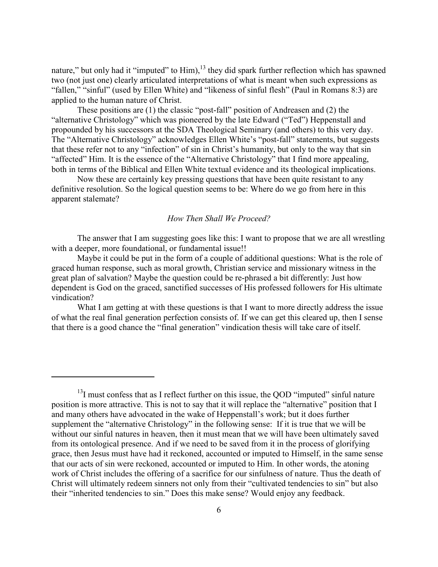nature," but only had it "imputed" to Him),<sup>13</sup> they did spark further reflection which has spawned two (not just one) clearly articulated interpretations of what is meant when such expressions as "fallen," "sinful" (used by Ellen White) and "likeness of sinful flesh" (Paul in Romans 8:3) are applied to the human nature of Christ.

 These positions are (1) the classic "post-fall" position of Andreasen and (2) the "alternative Christology" which was pioneered by the late Edward ("Ted") Heppenstall and propounded by his successors at the SDA Theological Seminary (and others) to this very day. The "Alternative Christology" acknowledges Ellen White's "post-fall" statements, but suggests that these refer not to any "infection" of sin in Christ's humanity, but only to the way that sin "affected" Him. It is the essence of the "Alternative Christology" that I find more appealing, both in terms of the Biblical and Ellen White textual evidence and its theological implications.

 Now these are certainly key pressing questions that have been quite resistant to any definitive resolution. So the logical question seems to be: Where do we go from here in this apparent stalemate?

#### How Then Shall We Proceed?

 The answer that I am suggesting goes like this: I want to propose that we are all wrestling with a deeper, more foundational, or fundamental issue!!

 Maybe it could be put in the form of a couple of additional questions: What is the role of graced human response, such as moral growth, Christian service and missionary witness in the great plan of salvation? Maybe the question could be re-phrased a bit differently: Just how dependent is God on the graced, sanctified successes of His professed followers for His ultimate vindication?

What I am getting at with these questions is that I want to more directly address the issue of what the real final generation perfection consists of. If we can get this cleared up, then I sense that there is a good chance the "final generation" vindication thesis will take care of itself.

 $\overline{a}$ 

 $13$ I must confess that as I reflect further on this issue, the OOD "imputed" sinful nature position is more attractive. This is not to say that it will replace the "alternative" position that I and many others have advocated in the wake of Heppenstall's work; but it does further supplement the "alternative Christology" in the following sense: If it is true that we will be without our sinful natures in heaven, then it must mean that we will have been ultimately saved from its ontological presence. And if we need to be saved from it in the process of glorifying grace, then Jesus must have had it reckoned, accounted or imputed to Himself, in the same sense that our acts of sin were reckoned, accounted or imputed to Him. In other words, the atoning work of Christ includes the offering of a sacrifice for our sinfulness of nature. Thus the death of Christ will ultimately redeem sinners not only from their "cultivated tendencies to sin" but also their "inherited tendencies to sin." Does this make sense? Would enjoy any feedback.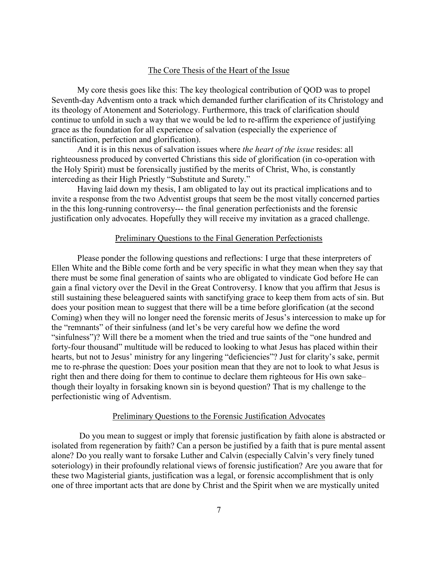## The Core Thesis of the Heart of the Issue

 My core thesis goes like this: The key theological contribution of QOD was to propel Seventh-day Adventism onto a track which demanded further clarification of its Christology and its theology of Atonement and Soteriology. Furthermore, this track of clarification should continue to unfold in such a way that we would be led to re-affirm the experience of justifying grace as the foundation for all experience of salvation (especially the experience of sanctification, perfection and glorification).

And it is in this nexus of salvation issues where the heart of the issue resides: all righteousness produced by converted Christians this side of glorification (in co-operation with the Holy Spirit) must be forensically justified by the merits of Christ, Who, is constantly interceding as their High Priestly "Substitute and Surety."

 Having laid down my thesis, I am obligated to lay out its practical implications and to invite a response from the two Adventist groups that seem be the most vitally concerned parties in the this long-running controversy--- the final generation perfectionists and the forensic justification only advocates. Hopefully they will receive my invitation as a graced challenge.

#### Preliminary Questions to the Final Generation Perfectionists

 Please ponder the following questions and reflections: I urge that these interpreters of Ellen White and the Bible come forth and be very specific in what they mean when they say that there must be some final generation of saints who are obligated to vindicate God before He can gain a final victory over the Devil in the Great Controversy. I know that you affirm that Jesus is still sustaining these beleaguered saints with sanctifying grace to keep them from acts of sin. But does your position mean to suggest that there will be a time before glorification (at the second Coming) when they will no longer need the forensic merits of Jesus's intercession to make up for the "remnants" of their sinfulness (and let's be very careful how we define the word "sinfulness")? Will there be a moment when the tried and true saints of the "one hundred and forty-four thousand" multitude will be reduced to looking to what Jesus has placed within their hearts, but not to Jesus' ministry for any lingering "deficiencies"? Just for clarity's sake, permit me to re-phrase the question: Does your position mean that they are not to look to what Jesus is right then and there doing for them to continue to declare them righteous for His own sake– though their loyalty in forsaking known sin is beyond question? That is my challenge to the perfectionistic wing of Adventism.

## Preliminary Questions to the Forensic Justification Advocates

 Do you mean to suggest or imply that forensic justification by faith alone is abstracted or isolated from regeneration by faith? Can a person be justified by a faith that is pure mental assent alone? Do you really want to forsake Luther and Calvin (especially Calvin's very finely tuned soteriology) in their profoundly relational views of forensic justification? Are you aware that for these two Magisterial giants, justification was a legal, or forensic accomplishment that is only one of three important acts that are done by Christ and the Spirit when we are mystically united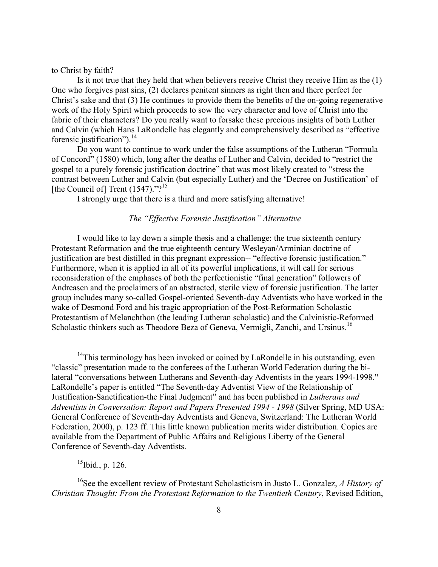to Christ by faith?

 Is it not true that they held that when believers receive Christ they receive Him as the (1) One who forgives past sins, (2) declares penitent sinners as right then and there perfect for Christ's sake and that (3) He continues to provide them the benefits of the on-going regenerative work of the Holy Spirit which proceeds to sow the very character and love of Christ into the fabric of their characters? Do you really want to forsake these precious insights of both Luther and Calvin (which Hans LaRondelle has elegantly and comprehensively described as "effective forensic justification"). $^{14}$ 

 Do you want to continue to work under the false assumptions of the Lutheran "Formula of Concord" (1580) which, long after the deaths of Luther and Calvin, decided to "restrict the gospel to a purely forensic justification doctrine" that was most likely created to "stress the contrast between Luther and Calvin (but especially Luther) and the 'Decree on Justification' of [the Council of] Trent  $(1547)$ ."?<sup>15</sup>

I strongly urge that there is a third and more satisfying alternative!

## The "Effective Forensic Justification" Alternative

 I would like to lay down a simple thesis and a challenge: the true sixteenth century Protestant Reformation and the true eighteenth century Wesleyan/Arminian doctrine of justification are best distilled in this pregnant expression-- "effective forensic justification." Furthermore, when it is applied in all of its powerful implications, it will call for serious reconsideration of the emphases of both the perfectionistic "final generation" followers of Andreasen and the proclaimers of an abstracted, sterile view of forensic justification. The latter group includes many so-called Gospel-oriented Seventh-day Adventists who have worked in the wake of Desmond Ford and his tragic appropriation of the Post-Reformation Scholastic Protestantism of Melanchthon (the leading Lutheran scholastic) and the Calvinistic-Reformed Scholastic thinkers such as Theodore Beza of Geneva, Vermigli, Zanchi, and Ursinus.<sup>16</sup>

 $15$ Ibid., p. 126.

-

<sup>16</sup>See the excellent review of Protestant Scholasticism in Justo L. Gonzalez, A History of Christian Thought: From the Protestant Reformation to the Twentieth Century, Revised Edition,

<sup>&</sup>lt;sup>14</sup>This terminology has been invoked or coined by LaRondelle in his outstanding, even "classic" presentation made to the conferees of the Lutheran World Federation during the bilateral "conversations between Lutherans and Seventh-day Adventists in the years 1994-1998." LaRondelle's paper is entitled "The Seventh-day Adventist View of the Relationship of Justification-Sanctification-the Final Judgment" and has been published in Lutherans and Adventists in Conversation: Report and Papers Presented 1994 - 1998 (Silver Spring, MD USA: General Conference of Seventh-day Adventists and Geneva, Switzerland: The Lutheran World Federation, 2000), p. 123 ff. This little known publication merits wider distribution. Copies are available from the Department of Public Affairs and Religious Liberty of the General Conference of Seventh-day Adventists.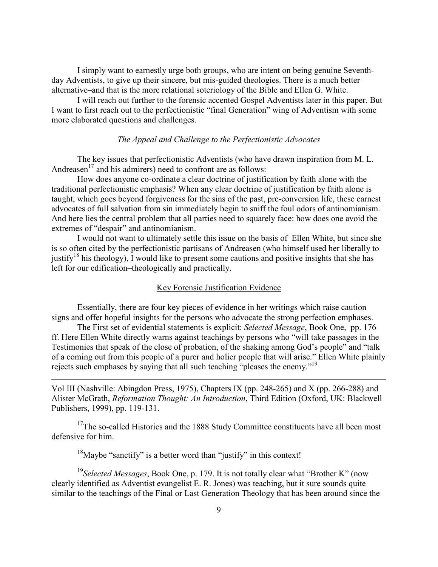I simply want to earnestly urge both groups, who are intent on being genuine Seventhday Adventists, to give up their sincere, but mis-guided theologies. There is a much better alternative–and that is the more relational soteriology of the Bible and Ellen G. White.

 I will reach out further to the forensic accented Gospel Adventists later in this paper. But I want to first reach out to the perfectionistic "final Generation" wing of Adventism with some more elaborated questions and challenges.

## The Appeal and Challenge to the Perfectionistic Advocates

 The key issues that perfectionistic Adventists (who have drawn inspiration from M. L. Andreasen<sup>17</sup> and his admirers) need to confront are as follows:

 How does anyone co-ordinate a clear doctrine of justification by faith alone with the traditional perfectionistic emphasis? When any clear doctrine of justification by faith alone is taught, which goes beyond forgiveness for the sins of the past, pre-conversion life, these earnest advocates of full salvation from sin immediately begin to sniff the foul odors of antinomianism. And here lies the central problem that all parties need to squarely face: how does one avoid the extremes of "despair" and antinomianism.

 I would not want to ultimately settle this issue on the basis of Ellen White, but since she is so often cited by the perfectionistic partisans of Andreasen (who himself used her liberally to justify<sup>18</sup> his theology), I would like to present some cautions and positive insights that she has left for our edification–theologically and practically.

## Key Forensic Justification Evidence

 Essentially, there are four key pieces of evidence in her writings which raise caution signs and offer hopeful insights for the persons who advocate the strong perfection emphases.

 The First set of evidential statements is explicit: Selected Message, Book One, pp. 176 ff. Here Ellen White directly warns against teachings by persons who "will take passages in the Testimonies that speak of the close of probation, of the shaking among God's people" and "talk of a coming out from this people of a purer and holier people that will arise." Ellen White plainly rejects such emphases by saying that all such teaching "pleases the enemy."<sup>19</sup>

Vol III (Nashville: Abingdon Press, 1975), Chapters IX (pp. 248-265) and X (pp. 266-288) and Alister McGrath, Reformation Thought: An Introduction, Third Edition (Oxford, UK: Blackwell Publishers, 1999), pp. 119-131.

<sup>17</sup>The so-called Historics and the 1888 Study Committee constituents have all been most defensive for him.

 $18$ Maybe "sanctify" is a better word than "justify" in this context!

-

<sup>19</sup>Selected Messages, Book One, p. 179. It is not totally clear what "Brother K" (now clearly identified as Adventist evangelist E. R. Jones) was teaching, but it sure sounds quite similar to the teachings of the Final or Last Generation Theology that has been around since the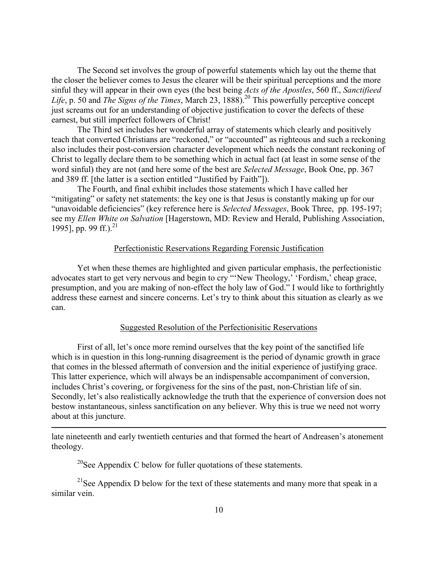The Second set involves the group of powerful statements which lay out the theme that the closer the believer comes to Jesus the clearer will be their spiritual perceptions and the more sinful they will appear in their own eyes (the best being Acts of the Apostles, 560 ff., Sanctifieed Life, p. 50 and The Signs of the Times, March 23, 1888).<sup>20</sup> This powerfully perceptive concept just screams out for an understanding of objective justification to cover the defects of these earnest, but still imperfect followers of Christ!

 The Third set includes her wonderful array of statements which clearly and positively teach that converted Christians are "reckoned," or "accounted" as righteous and such a reckoning also includes their post-conversion character development which needs the constant reckoning of Christ to legally declare them to be something which in actual fact (at least in some sense of the word sinful) they are not (and here some of the best are Selected Message, Book One, pp. 367 and 389 ff. [the latter is a section entitled "Justified by Faith"]).

 The Fourth, and final exhibit includes those statements which I have called her "mitigating" or safety net statements: the key one is that Jesus is constantly making up for our "unavoidable deficiencies" (key reference here is Selected Messages, Book Three, pp. 195-197; see my *Ellen White on Salvation* [Hagerstown, MD: Review and Herald, Publishing Association, 1995], pp. 99 ff.).<sup>21</sup>

## Perfectionistic Reservations Regarding Forensic Justification

 Yet when these themes are highlighted and given particular emphasis, the perfectionistic advocates start to get very nervous and begin to cry "'New Theology,' 'Fordism,' cheap grace, presumption, and you are making of non-effect the holy law of God." I would like to forthrightly address these earnest and sincere concerns. Let's try to think about this situation as clearly as we can.

#### Suggested Resolution of the Perfectionisitic Reservations

 First of all, let's once more remind ourselves that the key point of the sanctified life which is in question in this long-running disagreement is the period of dynamic growth in grace that comes in the blessed aftermath of conversion and the initial experience of justifying grace. This latter experience, which will always be an indispensable accompaniment of conversion, includes Christ's covering, or forgiveness for the sins of the past, non-Christian life of sin. Secondly, let's also realistically acknowledge the truth that the experience of conversion does not bestow instantaneous, sinless sanctification on any believer. Why this is true we need not worry about at this juncture.

late nineteenth and early twentieth centuries and that formed the heart of Andreasen's atonement theology.

 $20$ See Appendix C below for fuller quotations of these statements.

 $\overline{a}$ 

<sup>21</sup>See Appendix D below for the text of these statements and many more that speak in a similar vein.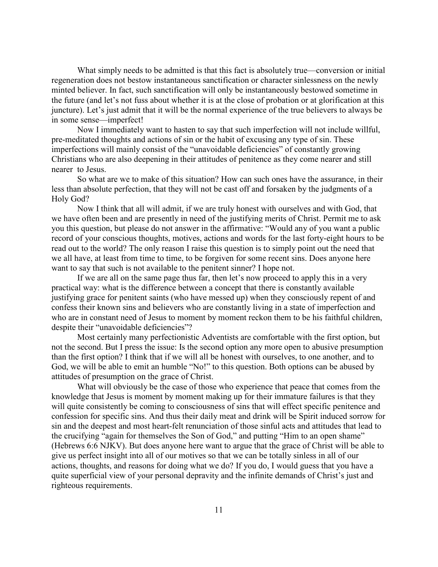What simply needs to be admitted is that this fact is absolutely true—conversion or initial regeneration does not bestow instantaneous sanctification or character sinlessness on the newly minted believer. In fact, such sanctification will only be instantaneously bestowed sometime in the future (and let's not fuss about whether it is at the close of probation or at glorification at this juncture). Let's just admit that it will be the normal experience of the true believers to always be in some sense—imperfect!

 Now I immediately want to hasten to say that such imperfection will not include willful, pre-meditated thoughts and actions of sin or the habit of excusing any type of sin. These imperfections will mainly consist of the "unavoidable deficiencies" of constantly growing Christians who are also deepening in their attitudes of penitence as they come nearer and still nearer to Jesus.

 So what are we to make of this situation? How can such ones have the assurance, in their less than absolute perfection, that they will not be cast off and forsaken by the judgments of a Holy God?

 Now I think that all will admit, if we are truly honest with ourselves and with God, that we have often been and are presently in need of the justifying merits of Christ. Permit me to ask you this question, but please do not answer in the affirmative: "Would any of you want a public record of your conscious thoughts, motives, actions and words for the last forty-eight hours to be read out to the world? The only reason I raise this question is to simply point out the need that we all have, at least from time to time, to be forgiven for some recent sins. Does anyone here want to say that such is not available to the penitent sinner? I hope not.

 If we are all on the same page thus far, then let's now proceed to apply this in a very practical way: what is the difference between a concept that there is constantly available justifying grace for penitent saints (who have messed up) when they consciously repent of and confess their known sins and believers who are constantly living in a state of imperfection and who are in constant need of Jesus to moment by moment reckon them to be his faithful children, despite their "unavoidable deficiencies"?

 Most certainly many perfectionistic Adventists are comfortable with the first option, but not the second. But I press the issue: Is the second option any more open to abusive presumption than the first option? I think that if we will all be honest with ourselves, to one another, and to God, we will be able to emit an humble "No!" to this question. Both options can be abused by attitudes of presumption on the grace of Christ.

 What will obviously be the case of those who experience that peace that comes from the knowledge that Jesus is moment by moment making up for their immature failures is that they will quite consistently be coming to consciousness of sins that will effect specific penitence and confession for specific sins. And thus their daily meat and drink will be Spirit induced sorrow for sin and the deepest and most heart-felt renunciation of those sinful acts and attitudes that lead to the crucifying "again for themselves the Son of God," and putting "Him to an open shame" (Hebrews 6:6 NJKV). But does anyone here want to argue that the grace of Christ will be able to give us perfect insight into all of our motives so that we can be totally sinless in all of our actions, thoughts, and reasons for doing what we do? If you do, I would guess that you have a quite superficial view of your personal depravity and the infinite demands of Christ's just and righteous requirements.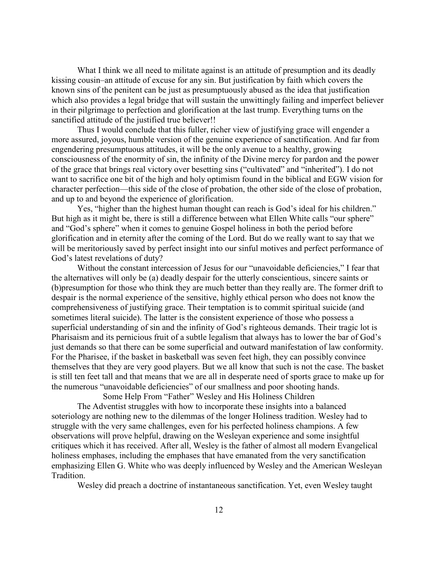What I think we all need to militate against is an attitude of presumption and its deadly kissing cousin–an attitude of excuse for any sin. But justification by faith which covers the known sins of the penitent can be just as presumptuously abused as the idea that justification which also provides a legal bridge that will sustain the unwittingly failing and imperfect believer in their pilgrimage to perfection and glorification at the last trump. Everything turns on the sanctified attitude of the justified true believer!!

 Thus I would conclude that this fuller, richer view of justifying grace will engender a more assured, joyous, humble version of the genuine experience of sanctification. And far from engendering presumptuous attitudes, it will be the only avenue to a healthy, growing consciousness of the enormity of sin, the infinity of the Divine mercy for pardon and the power of the grace that brings real victory over besetting sins ("cultivated" and "inherited"). I do not want to sacrifice one bit of the high and holy optimism found in the biblical and EGW vision for character perfection—this side of the close of probation, the other side of the close of probation, and up to and beyond the experience of glorification.

 Yes, "higher than the highest human thought can reach is God's ideal for his children." But high as it might be, there is still a difference between what Ellen White calls "our sphere" and "God's sphere" when it comes to genuine Gospel holiness in both the period before glorification and in eternity after the coming of the Lord. But do we really want to say that we will be meritoriously saved by perfect insight into our sinful motives and perfect performance of God's latest revelations of duty?

 Without the constant intercession of Jesus for our "unavoidable deficiencies," I fear that the alternatives will only be (a) deadly despair for the utterly conscientious, sincere saints or (b)presumption for those who think they are much better than they really are. The former drift to despair is the normal experience of the sensitive, highly ethical person who does not know the comprehensiveness of justifying grace. Their temptation is to commit spiritual suicide (and sometimes literal suicide). The latter is the consistent experience of those who possess a superficial understanding of sin and the infinity of God's righteous demands. Their tragic lot is Pharisaism and its pernicious fruit of a subtle legalism that always has to lower the bar of God's just demands so that there can be some superficial and outward manifestation of law conformity. For the Pharisee, if the basket in basketball was seven feet high, they can possibly convince themselves that they are very good players. But we all know that such is not the case. The basket is still ten feet tall and that means that we are all in desperate need of sports grace to make up for the numerous "unavoidable deficiencies" of our smallness and poor shooting hands.

Some Help From "Father" Wesley and His Holiness Children

 The Adventist struggles with how to incorporate these insights into a balanced soteriology are nothing new to the dilemmas of the longer Holiness tradition. Wesley had to struggle with the very same challenges, even for his perfected holiness champions. A few observations will prove helpful, drawing on the Wesleyan experience and some insightful critiques which it has received. After all, Wesley is the father of almost all modern Evangelical holiness emphases, including the emphases that have emanated from the very sanctification emphasizing Ellen G. White who was deeply influenced by Wesley and the American Wesleyan Tradition.

Wesley did preach a doctrine of instantaneous sanctification. Yet, even Wesley taught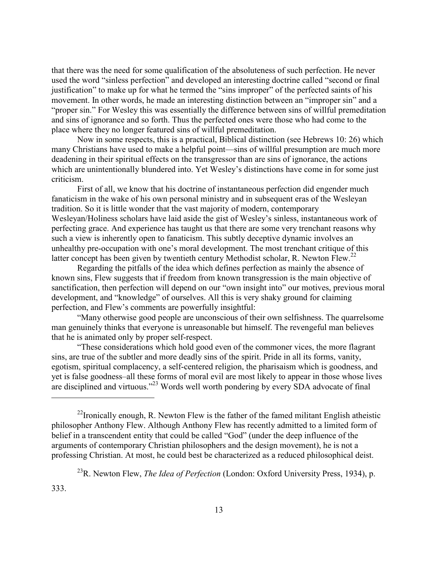that there was the need for some qualification of the absoluteness of such perfection. He never used the word "sinless perfection" and developed an interesting doctrine called "second or final justification" to make up for what he termed the "sins improper" of the perfected saints of his movement. In other words, he made an interesting distinction between an "improper sin" and a "proper sin." For Wesley this was essentially the difference between sins of willful premeditation and sins of ignorance and so forth. Thus the perfected ones were those who had come to the place where they no longer featured sins of willful premeditation.

 Now in some respects, this is a practical, Biblical distinction (see Hebrews 10: 26) which many Christians have used to make a helpful point—sins of willful presumption are much more deadening in their spiritual effects on the transgressor than are sins of ignorance, the actions which are unintentionally blundered into. Yet Wesley's distinctions have come in for some just criticism.

 First of all, we know that his doctrine of instantaneous perfection did engender much fanaticism in the wake of his own personal ministry and in subsequent eras of the Wesleyan tradition. So it is little wonder that the vast majority of modern, contemporary Wesleyan/Holiness scholars have laid aside the gist of Wesley's sinless, instantaneous work of perfecting grace. And experience has taught us that there are some very trenchant reasons why such a view is inherently open to fanaticism. This subtly deceptive dynamic involves an unhealthy pre-occupation with one's moral development. The most trenchant critique of this latter concept has been given by twentieth century Methodist scholar, R. Newton Flew.<sup>22</sup>

 Regarding the pitfalls of the idea which defines perfection as mainly the absence of known sins, Flew suggests that if freedom from known transgression is the main objective of sanctification, then perfection will depend on our "own insight into" our motives, previous moral development, and "knowledge" of ourselves. All this is very shaky ground for claiming perfection, and Flew's comments are powerfully insightful:

 "Many otherwise good people are unconscious of their own selfishness. The quarrelsome man genuinely thinks that everyone is unreasonable but himself. The revengeful man believes that he is animated only by proper self-respect.

 "These considerations which hold good even of the commoner vices, the more flagrant sins, are true of the subtler and more deadly sins of the spirit. Pride in all its forms, vanity, egotism, spiritual complacency, a self-centered religion, the pharisaism which is goodness, and yet is false goodness–all these forms of moral evil are most likely to appear in those whose lives are disciplined and virtuous."<sup>23</sup> Words well worth pondering by every SDA advocate of final

<sup>23</sup>R. Newton Flew, *The Idea of Perfection* (London: Oxford University Press, 1934), p.

333.

-

 $22$ Ironically enough, R. Newton Flew is the father of the famed militant English atheistic philosopher Anthony Flew. Although Anthony Flew has recently admitted to a limited form of belief in a transcendent entity that could be called "God" (under the deep influence of the arguments of contemporary Christian philosophers and the design movement), he is not a professing Christian. At most, he could best be characterized as a reduced philosophical deist.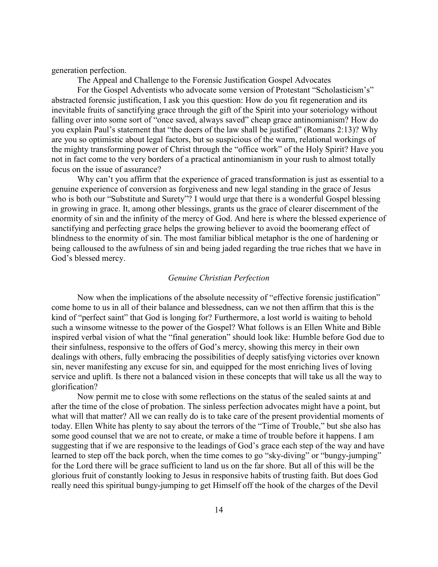generation perfection.

 The Appeal and Challenge to the Forensic Justification Gospel Advocates For the Gospel Adventists who advocate some version of Protestant "Scholasticism's" abstracted forensic justification, I ask you this question: How do you fit regeneration and its inevitable fruits of sanctifying grace through the gift of the Spirit into your soteriology without falling over into some sort of "once saved, always saved" cheap grace antinomianism? How do you explain Paul's statement that "the doers of the law shall be justified" (Romans 2:13)? Why are you so optimistic about legal factors, but so suspicious of the warm, relational workings of the mighty transforming power of Christ through the "office work" of the Holy Spirit? Have you not in fact come to the very borders of a practical antinomianism in your rush to almost totally focus on the issue of assurance?

Why can't you affirm that the experience of graced transformation is just as essential to a genuine experience of conversion as forgiveness and new legal standing in the grace of Jesus who is both our "Substitute and Surety"? I would urge that there is a wonderful Gospel blessing in growing in grace. It, among other blessings, grants us the grace of clearer discernment of the enormity of sin and the infinity of the mercy of God. And here is where the blessed experience of sanctifying and perfecting grace helps the growing believer to avoid the boomerang effect of blindness to the enormity of sin. The most familiar biblical metaphor is the one of hardening or being calloused to the awfulness of sin and being jaded regarding the true riches that we have in God's blessed mercy.

#### Genuine Christian Perfection

 Now when the implications of the absolute necessity of "effective forensic justification" come home to us in all of their balance and blessedness, can we not then affirm that this is the kind of "perfect saint" that God is longing for? Furthermore, a lost world is waiting to behold such a winsome witnesse to the power of the Gospel? What follows is an Ellen White and Bible inspired verbal vision of what the "final generation" should look like: Humble before God due to their sinfulness, responsive to the offers of God's mercy, showing this mercy in their own dealings with others, fully embracing the possibilities of deeply satisfying victories over known sin, never manifesting any excuse for sin, and equipped for the most enriching lives of loving service and uplift. Is there not a balanced vision in these concepts that will take us all the way to glorification?

 Now permit me to close with some reflections on the status of the sealed saints at and after the time of the close of probation. The sinless perfection advocates might have a point, but what will that matter? All we can really do is to take care of the present providential moments of today. Ellen White has plenty to say about the terrors of the "Time of Trouble," but she also has some good counsel that we are not to create, or make a time of trouble before it happens. I am suggesting that if we are responsive to the leadings of God's grace each step of the way and have learned to step off the back porch, when the time comes to go "sky-diving" or "bungy-jumping" for the Lord there will be grace sufficient to land us on the far shore. But all of this will be the glorious fruit of constantly looking to Jesus in responsive habits of trusting faith. But does God really need this spiritual bungy-jumping to get Himself off the hook of the charges of the Devil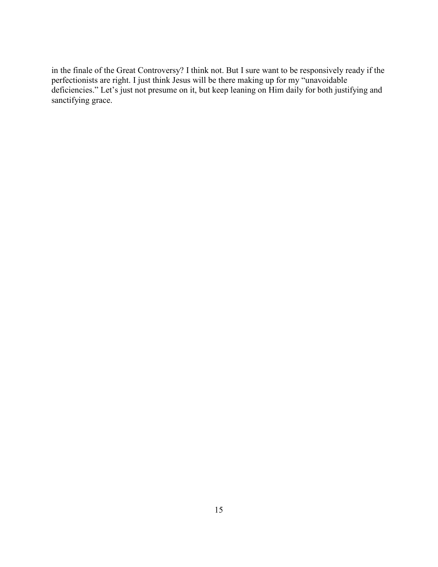in the finale of the Great Controversy? I think not. But I sure want to be responsively ready if the perfectionists are right. I just think Jesus will be there making up for my "unavoidable deficiencies." Let's just not presume on it, but keep leaning on Him daily for both justifying and sanctifying grace.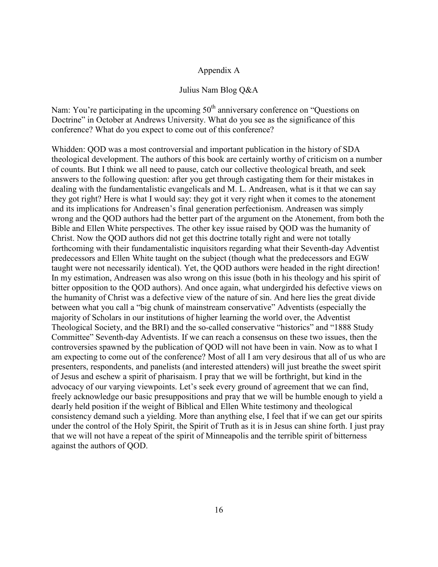## Appendix A

## Julius Nam Blog Q&A

Nam: You're participating in the upcoming  $50<sup>th</sup>$  anniversary conference on "Questions on Doctrine" in October at Andrews University. What do you see as the significance of this conference? What do you expect to come out of this conference?

Whidden: QOD was a most controversial and important publication in the history of SDA theological development. The authors of this book are certainly worthy of criticism on a number of counts. But I think we all need to pause, catch our collective theological breath, and seek answers to the following question: after you get through castigating them for their mistakes in dealing with the fundamentalistic evangelicals and M. L. Andreasen, what is it that we can say they got right? Here is what I would say: they got it very right when it comes to the atonement and its implications for Andreasen's final generation perfectionism. Andreasen was simply wrong and the QOD authors had the better part of the argument on the Atonement, from both the Bible and Ellen White perspectives. The other key issue raised by QOD was the humanity of Christ. Now the QOD authors did not get this doctrine totally right and were not totally forthcoming with their fundamentalistic inquisitors regarding what their Seventh-day Adventist predecessors and Ellen White taught on the subject (though what the predecessors and EGW taught were not necessarily identical). Yet, the QOD authors were headed in the right direction! In my estimation, Andreasen was also wrong on this issue (both in his theology and his spirit of bitter opposition to the QOD authors). And once again, what undergirded his defective views on the humanity of Christ was a defective view of the nature of sin. And here lies the great divide between what you call a "big chunk of mainstream conservative" Adventists (especially the majority of Scholars in our institutions of higher learning the world over, the Adventist Theological Society, and the BRI) and the so-called conservative "historics" and "1888 Study Committee" Seventh-day Adventists. If we can reach a consensus on these two issues, then the controversies spawned by the publication of QOD will not have been in vain. Now as to what I am expecting to come out of the conference? Most of all I am very desirous that all of us who are presenters, respondents, and panelists (and interested attenders) will just breathe the sweet spirit of Jesus and eschew a spirit of pharisaism. I pray that we will be forthright, but kind in the advocacy of our varying viewpoints. Let's seek every ground of agreement that we can find, freely acknowledge our basic presuppositions and pray that we will be humble enough to yield a dearly held position if the weight of Biblical and Ellen White testimony and theological consistency demand such a yielding. More than anything else, I feel that if we can get our spirits under the control of the Holy Spirit, the Spirit of Truth as it is in Jesus can shine forth. I just pray that we will not have a repeat of the spirit of Minneapolis and the terrible spirit of bitterness against the authors of QOD.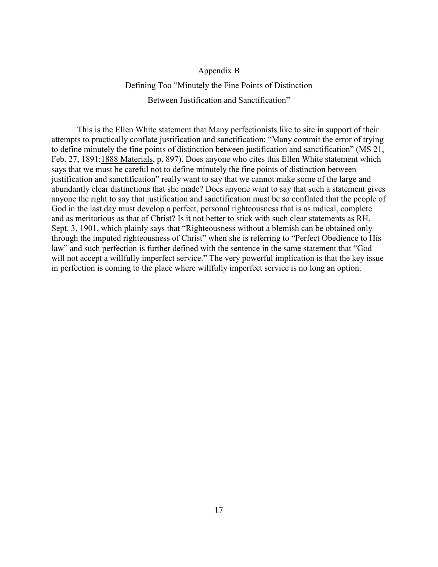#### Appendix B

# Defining Too "Minutely the Fine Points of Distinction Between Justification and Sanctification"

 This is the Ellen White statement that Many perfectionists like to site in support of their attempts to practically conflate justification and sanctification: "Many commit the error of trying to define minutely the fine points of distinction between justification and sanctification" (MS 21, Feb. 27, 1891:1888 Materials, p. 897). Does anyone who cites this Ellen White statement which says that we must be careful not to define minutely the fine points of distinction between justification and sanctification" really want to say that we cannot make some of the large and abundantly clear distinctions that she made? Does anyone want to say that such a statement gives anyone the right to say that justification and sanctification must be so conflated that the people of God in the last day must develop a perfect, personal righteousness that is as radical, complete and as meritorious as that of Christ? Is it not better to stick with such clear statements as RH, Sept. 3, 1901, which plainly says that "Righteousness without a blemish can be obtained only through the imputed righteousness of Christ" when she is referring to "Perfect Obedience to His law" and such perfection is further defined with the sentence in the same statement that "God will not accept a willfully imperfect service." The very powerful implication is that the key issue in perfection is coming to the place where willfully imperfect service is no long an option.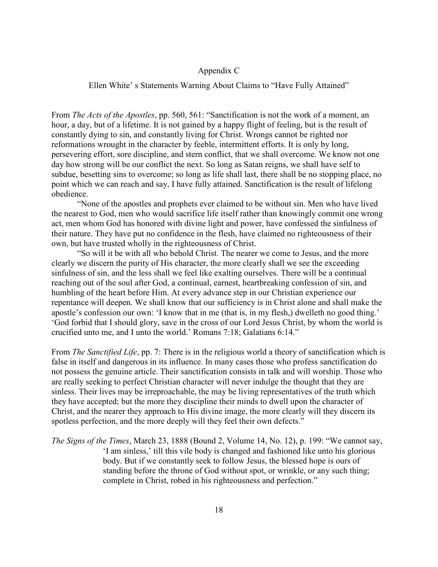## Appendix C

Ellen White' s Statements Warning About Claims to "Have Fully Attained"

From The Acts of the Apostles, pp. 560, 561: "Sanctification is not the work of a moment, an hour, a day, but of a lifetime. It is not gained by a happy flight of feeling, but is the result of constantly dying to sin, and constantly living for Christ. Wrongs cannot be righted nor reformations wrought in the character by feeble, intermittent efforts. It is only by long, persevering effort, sore discipline, and stern conflict, that we shall overcome. We know not one day how strong will be our conflict the next. So long as Satan reigns, we shall have self to subdue, besetting sins to overcome; so long as life shall last, there shall be no stopping place, no point which we can reach and say, I have fully attained. Sanctification is the result of lifelong obedience.

 "None of the apostles and prophets ever claimed to be without sin. Men who have lived the nearest to God, men who would sacrifice life itself rather than knowingly commit one wrong act, men whom God has honored with divine light and power, have confessed the sinfulness of their nature. They have put no confidence in the flesh, have claimed no righteousness of their own, but have trusted wholly in the righteousness of Christ.

 "So will it be with all who behold Christ. The nearer we come to Jesus, and the more clearly we discern the purity of His character, the more clearly shall we see the exceeding sinfulness of sin, and the less shall we feel like exalting ourselves. There will be a continual reaching out of the soul after God, a continual, earnest, heartbreaking confession of sin, and humbling of the heart before Him. At every advance step in our Christian experience our repentance will deepen. We shall know that our sufficiency is in Christ alone and shall make the apostle's confession our own: 'I know that in me (that is, in my flesh,) dwelleth no good thing.' 'God forbid that I should glory, save in the cross of our Lord Jesus Christ, by whom the world is crucified unto me, and I unto the world.' Romans 7:18; Galatians 6:14."

From *The Sanctified Life*, pp. 7: There is in the religious world a theory of sanctification which is false in itself and dangerous in its influence. In many cases those who profess sanctification do not possess the genuine article. Their sanctification consists in talk and will worship. Those who are really seeking to perfect Christian character will never indulge the thought that they are sinless. Their lives may be irreproachable, the may be living representatives of the truth which they have accepted; but the more they discipline their minds to dwell upon the character of Christ, and the nearer they approach to His divine image, the more clearly will they discern its spotless perfection, and the more deeply will they feel their own defects."

The Signs of the Times, March 23, 1888 (Bound 2, Volume 14, No. 12), p. 199: "We cannot say, 'I am sinless,' till this vile body is changed and fashioned like unto his glorious body. But if we constantly seek to follow Jesus, the blessed hope is ours of standing before the throne of God without spot, or wrinkle, or any such thing; complete in Christ, robed in his righteousness and perfection."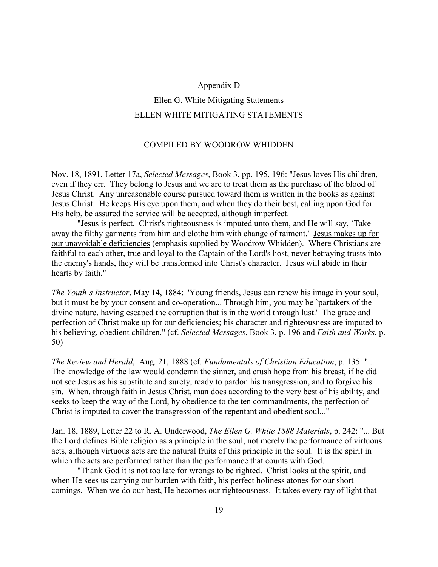# Appendix D Ellen G. White Mitigating Statements ELLEN WHITE MITIGATING STATEMENTS

#### COMPILED BY WOODROW WHIDDEN

Nov. 18, 1891, Letter 17a, Selected Messages, Book 3, pp. 195, 196: "Jesus loves His children, even if they err. They belong to Jesus and we are to treat them as the purchase of the blood of Jesus Christ. Any unreasonable course pursued toward them is written in the books as against Jesus Christ. He keeps His eye upon them, and when they do their best, calling upon God for His help, be assured the service will be accepted, although imperfect.

 "Jesus is perfect. Christ's righteousness is imputed unto them, and He will say, `Take away the filthy garments from him and clothe him with change of raiment.' Jesus makes up for our unavoidable deficiencies (emphasis supplied by Woodrow Whidden). Where Christians are faithful to each other, true and loyal to the Captain of the Lord's host, never betraying trusts into the enemy's hands, they will be transformed into Christ's character. Jesus will abide in their hearts by faith."

The Youth's Instructor, May 14, 1884: "Young friends, Jesus can renew his image in your soul, but it must be by your consent and co-operation... Through him, you may be `partakers of the divine nature, having escaped the corruption that is in the world through lust.' The grace and perfection of Christ make up for our deficiencies; his character and righteousness are imputed to his believing, obedient children." (cf. Selected Messages, Book 3, p. 196 and Faith and Works, p. 50)

The Review and Herald, Aug. 21, 1888 (cf. Fundamentals of Christian Education, p. 135: "... The knowledge of the law would condemn the sinner, and crush hope from his breast, if he did not see Jesus as his substitute and surety, ready to pardon his transgression, and to forgive his sin. When, through faith in Jesus Christ, man does according to the very best of his ability, and seeks to keep the way of the Lord, by obedience to the ten commandments, the perfection of Christ is imputed to cover the transgression of the repentant and obedient soul..."

Jan. 18, 1889, Letter 22 to R. A. Underwood, The Ellen G. White 1888 Materials, p. 242: "... But the Lord defines Bible religion as a principle in the soul, not merely the performance of virtuous acts, although virtuous acts are the natural fruits of this principle in the soul. It is the spirit in which the acts are performed rather than the performance that counts with God.

 "Thank God it is not too late for wrongs to be righted. Christ looks at the spirit, and when He sees us carrying our burden with faith, his perfect holiness atones for our short comings. When we do our best, He becomes our righteousness. It takes every ray of light that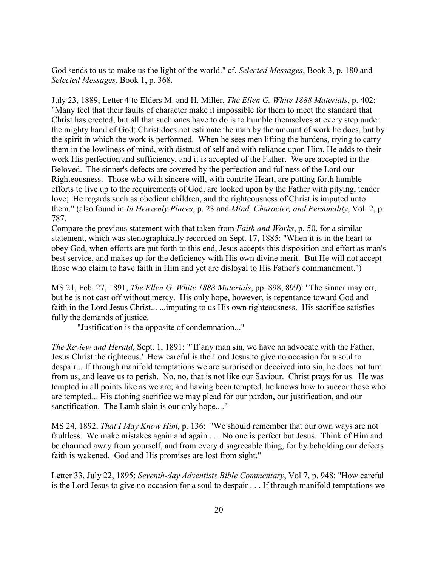God sends to us to make us the light of the world." cf. Selected Messages, Book 3, p. 180 and Selected Messages, Book 1, p. 368.

July 23, 1889, Letter 4 to Elders M. and H. Miller, The Ellen G. White 1888 Materials, p. 402: "Many feel that their faults of character make it impossible for them to meet the standard that Christ has erected; but all that such ones have to do is to humble themselves at every step under the mighty hand of God; Christ does not estimate the man by the amount of work he does, but by the spirit in which the work is performed. When he sees men lifting the burdens, trying to carry them in the lowliness of mind, with distrust of self and with reliance upon Him, He adds to their work His perfection and sufficiency, and it is accepted of the Father. We are accepted in the Beloved. The sinner's defects are covered by the perfection and fullness of the Lord our Righteousness. Those who with sincere will, with contrite Heart, are putting forth humble efforts to live up to the requirements of God, are looked upon by the Father with pitying, tender love; He regards such as obedient children, and the righteousness of Christ is imputed unto them." (also found in *In Heavenly Places*, p. 23 and *Mind, Character, and Personality*, Vol. 2, p. 787.

Compare the previous statement with that taken from Faith and Works, p. 50, for a similar statement, which was stenographically recorded on Sept. 17, 1885: "When it is in the heart to obey God, when efforts are put forth to this end, Jesus accepts this disposition and effort as man's best service, and makes up for the deficiency with His own divine merit. But He will not accept those who claim to have faith in Him and yet are disloyal to His Father's commandment.")

MS 21, Feb. 27, 1891, The Ellen G. White 1888 Materials, pp. 898, 899): "The sinner may err, but he is not cast off without mercy. His only hope, however, is repentance toward God and faith in the Lord Jesus Christ... ...imputing to us His own righteousness. His sacrifice satisfies fully the demands of justice.

"Justification is the opposite of condemnation..."

The Review and Herald, Sept. 1, 1891: "'If any man sin, we have an advocate with the Father, Jesus Christ the righteous.' How careful is the Lord Jesus to give no occasion for a soul to despair... If through manifold temptations we are surprised or deceived into sin, he does not turn from us, and leave us to perish. No, no, that is not like our Saviour. Christ prays for us. He was tempted in all points like as we are; and having been tempted, he knows how to succor those who are tempted... His atoning sacrifice we may plead for our pardon, our justification, and our sanctification. The Lamb slain is our only hope...."

MS 24, 1892. That I May Know Him, p. 136: "We should remember that our own ways are not faultless. We make mistakes again and again . . . No one is perfect but Jesus. Think of Him and be charmed away from yourself, and from every disagreeable thing, for by beholding our defects faith is wakened. God and His promises are lost from sight."

Letter 33, July 22, 1895; Seventh-day Adventists Bible Commentary, Vol 7, p. 948: "How careful is the Lord Jesus to give no occasion for a soul to despair . . . If through manifold temptations we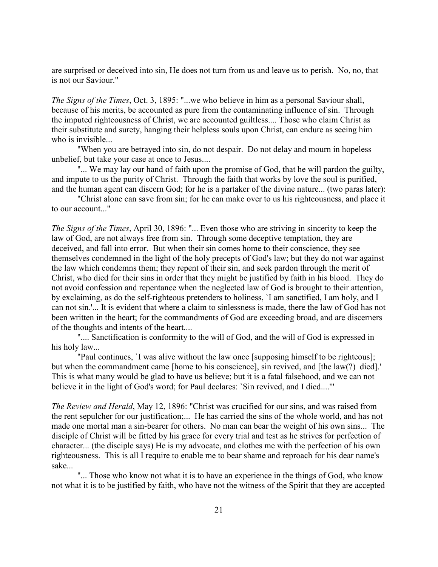are surprised or deceived into sin, He does not turn from us and leave us to perish. No, no, that is not our Saviour."

The Signs of the Times, Oct. 3, 1895: "...we who believe in him as a personal Saviour shall, because of his merits, be accounted as pure from the contaminating influence of sin. Through the imputed righteousness of Christ, we are accounted guiltless.... Those who claim Christ as their substitute and surety, hanging their helpless souls upon Christ, can endure as seeing him who is invisible...

 "When you are betrayed into sin, do not despair. Do not delay and mourn in hopeless unbelief, but take your case at once to Jesus....

 "... We may lay our hand of faith upon the promise of God, that he will pardon the guilty, and impute to us the purity of Christ. Through the faith that works by love the soul is purified, and the human agent can discern God; for he is a partaker of the divine nature... (two paras later):

 "Christ alone can save from sin; for he can make over to us his righteousness, and place it to our account..."

The Signs of the Times, April 30, 1896: "... Even those who are striving in sincerity to keep the law of God, are not always free from sin. Through some deceptive temptation, they are deceived, and fall into error. But when their sin comes home to their conscience, they see themselves condemned in the light of the holy precepts of God's law; but they do not war against the law which condemns them; they repent of their sin, and seek pardon through the merit of Christ, who died for their sins in order that they might be justified by faith in his blood. They do not avoid confession and repentance when the neglected law of God is brought to their attention, by exclaiming, as do the self-righteous pretenders to holiness, `I am sanctified, I am holy, and I can not sin.'... It is evident that where a claim to sinlessness is made, there the law of God has not been written in the heart; for the commandments of God are exceeding broad, and are discerners of the thoughts and intents of the heart....

 ".... Sanctification is conformity to the will of God, and the will of God is expressed in his holy law...

 "Paul continues, `I was alive without the law once [supposing himself to be righteous]; but when the commandment came [home to his conscience], sin revived, and [the law(?) died].' This is what many would be glad to have us believe; but it is a fatal falsehood, and we can not believe it in the light of God's word; for Paul declares: `Sin revived, and I died....'"

The Review and Herald, May 12, 1896: "Christ was crucified for our sins, and was raised from the rent sepulcher for our justification;... He has carried the sins of the whole world, and has not made one mortal man a sin-bearer for others. No man can bear the weight of his own sins... The disciple of Christ will be fitted by his grace for every trial and test as he strives for perfection of character... (the disciple says) He is my advocate, and clothes me with the perfection of his own righteousness. This is all I require to enable me to bear shame and reproach for his dear name's sake...

 "... Those who know not what it is to have an experience in the things of God, who know not what it is to be justified by faith, who have not the witness of the Spirit that they are accepted